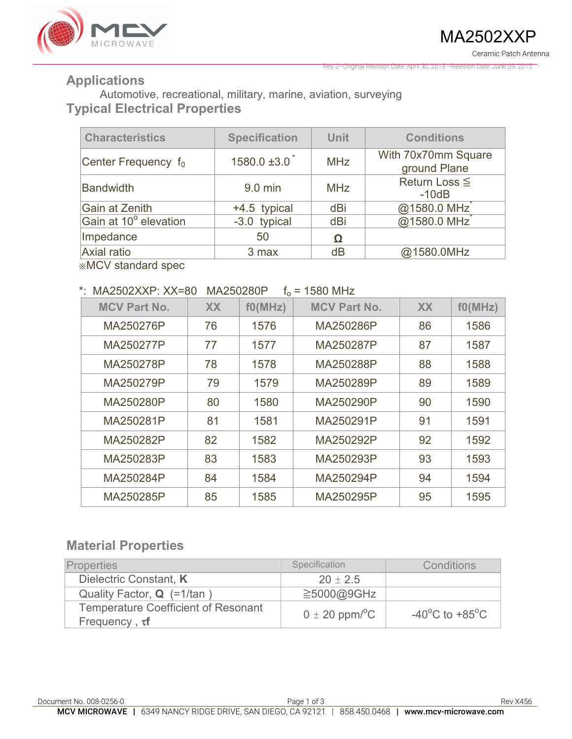

Rev 2–Original Revision Date: April 30, 2013 –Revision Date: June 09, 2015

### **Applications**

Automotive, recreational, military, marine, aviation, surveying **Typical Electrical Properties** 

| <b>Characteristics</b> | <b>Specification</b>          | <b>Unit</b> | <b>Conditions</b>                   |
|------------------------|-------------------------------|-------------|-------------------------------------|
| Center Frequency $f_0$ | $1580.0 \pm 3.0$ <sup>*</sup> | <b>MHz</b>  | With 70x70mm Square<br>ground Plane |
| <b>Bandwidth</b>       | 9.0 min                       | <b>MHz</b>  | Return Loss $\leq$<br>$-10dB$       |
| Gain at Zenith         | +4.5 typical                  | dBi         | @1580.0 MHz <sup>*</sup>            |
| Gain at 10° elevation  | -3.0 typical                  | dBi         | @1580.0 MHz                         |
| Impedance              | 50                            |             |                                     |
| Axial ratio            | 3 max                         | dB          | @1580.0MHz                          |

※MCV standard spec

#### \*  $MA2502XXP$   $XX=80$   $MA250280P$   $f_0 = 1580$  MHz

| . U                 |           |         |                     |           |         |  |
|---------------------|-----------|---------|---------------------|-----------|---------|--|
| <b>MCV Part No.</b> | <b>XX</b> | f0(MHz) | <b>MCV Part No.</b> | <b>XX</b> | f0(MHz) |  |
| MA250276P           | 76        | 1576    | MA250286P           | 86        | 1586    |  |
| MA250277P           | 77        | 1577    | MA250287P           | 87        | 1587    |  |
| MA250278P           | 78        | 1578    | MA250288P           | 88        | 1588    |  |
| MA250279P           | 79        | 1579    | MA250289P           | 89        | 1589    |  |
| MA250280P           | 80        | 1580    | MA250290P           | 90        | 1590    |  |
| MA250281P           | 81        | 1581    | MA250291P           | 91        | 1591    |  |
| MA250282P           | 82        | 1582    | MA250292P           | 92        | 1592    |  |
| MA250283P           | 83        | 1583    | MA250293P           | 93        | 1593    |  |
| MA250284P           | 84        | 1584    | MA250294P           | 94        | 1594    |  |
| MA250285P           | 85        | 1585    | MA250295P           | 95        | 1595    |  |

## **Material Properties**

| <b>Properties</b>                                                 | Specification                  | Conditions                                           |
|-------------------------------------------------------------------|--------------------------------|------------------------------------------------------|
| Dielectric Constant, K                                            | $20 \pm 2.5$                   |                                                      |
| Quality Factor, <b>Q</b> (=1/tan)                                 | $\geq$ 5000@9GHz               |                                                      |
| <b>Temperature Coefficient of Resonant</b><br>Frequency, $\tau f$ | $0 \pm 20$ ppm/ <sup>o</sup> C | -40 $\mathrm{^{\circ}C}$ to +85 $\mathrm{^{\circ}C}$ |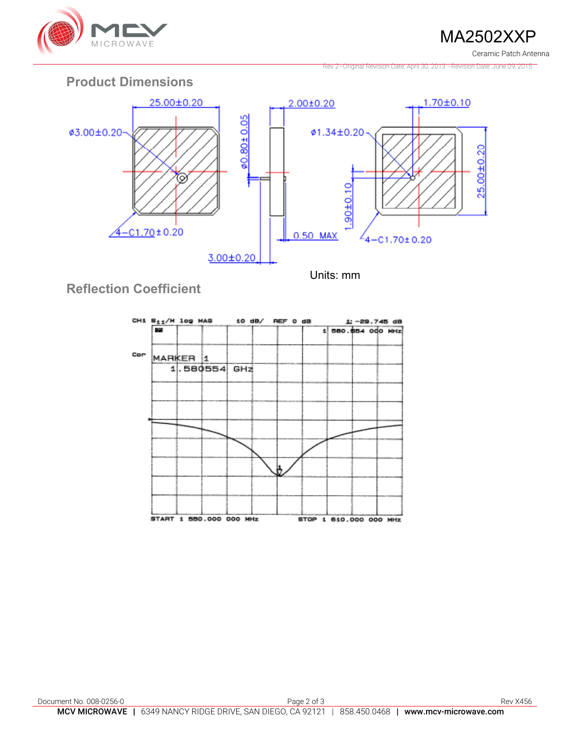

MA2502XXP

Ceramic Patch Antenna

Rev 2–Original Revision Date: April 30, 2013 –Revision Date: June 09, 2015

## **Product Dimensions**



**Reflection Coefficient**